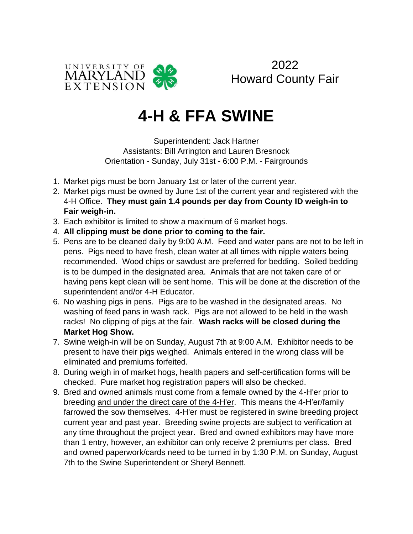

2022 Howard County Fair

# **4-H & FFA SWINE**

Superintendent: Jack Hartner Assistants: Bill Arrington and Lauren Bresnock Orientation - Sunday, July 31st - 6:00 P.M. - Fairgrounds

- 1. Market pigs must be born January 1st or later of the current year.
- 2. Market pigs must be owned by June 1st of the current year and registered with the 4-H Office. **They must gain 1.4 pounds per day from County ID weigh-in to Fair weigh-in.**
- 3. Each exhibitor is limited to show a maximum of 6 market hogs.
- 4. **All clipping must be done prior to coming to the fair.**
- 5. Pens are to be cleaned daily by 9:00 A.M. Feed and water pans are not to be left in pens. Pigs need to have fresh, clean water at all times with nipple waters being recommended. Wood chips or sawdust are preferred for bedding. Soiled bedding is to be dumped in the designated area. Animals that are not taken care of or having pens kept clean will be sent home. This will be done at the discretion of the superintendent and/or 4-H Educator.
- 6. No washing pigs in pens. Pigs are to be washed in the designated areas. No washing of feed pans in wash rack. Pigs are not allowed to be held in the wash racks! No clipping of pigs at the fair. **Wash racks will be closed during the Market Hog Show.**
- 7. Swine weigh-in will be on Sunday, August 7th at 9:00 A.M. Exhibitor needs to be present to have their pigs weighed. Animals entered in the wrong class will be eliminated and premiums forfeited.
- 8. During weigh in of market hogs, health papers and self-certification forms will be checked. Pure market hog registration papers will also be checked.
- 9. Bred and owned animals must come from a female owned by the 4-H'er prior to breeding and under the direct care of the 4-H'er. This means the 4-H'er/family farrowed the sow themselves. 4-H'er must be registered in swine breeding project current year and past year. Breeding swine projects are subject to verification at any time throughout the project year. Bred and owned exhibitors may have more than 1 entry, however, an exhibitor can only receive 2 premiums per class. Bred and owned paperwork/cards need to be turned in by 1:30 P.M. on Sunday, August 7th to the Swine Superintendent or Sheryl Bennett.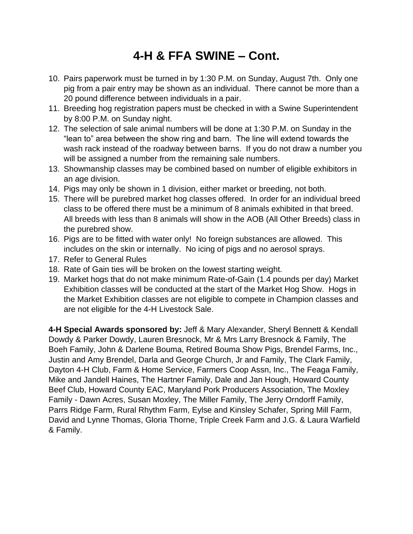# **4-H & FFA SWINE – Cont.**

- 10. Pairs paperwork must be turned in by 1:30 P.M. on Sunday, August 7th. Only one pig from a pair entry may be shown as an individual. There cannot be more than a 20 pound difference between individuals in a pair.
- 11. Breeding hog registration papers must be checked in with a Swine Superintendent by 8:00 P.M. on Sunday night.
- 12. The selection of sale animal numbers will be done at 1:30 P.M. on Sunday in the "lean to" area between the show ring and barn. The line will extend towards the wash rack instead of the roadway between barns. If you do not draw a number you will be assigned a number from the remaining sale numbers.
- 13. Showmanship classes may be combined based on number of eligible exhibitors in an age division.
- 14. Pigs may only be shown in 1 division, either market or breeding, not both.
- 15. There will be purebred market hog classes offered. In order for an individual breed class to be offered there must be a minimum of 8 animals exhibited in that breed. All breeds with less than 8 animals will show in the AOB (All Other Breeds) class in the purebred show.
- 16. Pigs are to be fitted with water only! No foreign substances are allowed. This includes on the skin or internally. No icing of pigs and no aerosol sprays.
- 17. Refer to General Rules
- 18. Rate of Gain ties will be broken on the lowest starting weight.
- 19. Market hogs that do not make minimum Rate-of-Gain (1.4 pounds per day) Market Exhibition classes will be conducted at the start of the Market Hog Show. Hogs in the Market Exhibition classes are not eligible to compete in Champion classes and are not eligible for the 4-H Livestock Sale.

**4-H Special Awards sponsored by:** Jeff & Mary Alexander, Sheryl Bennett & Kendall Dowdy & Parker Dowdy, Lauren Bresnock, Mr & Mrs Larry Bresnock & Family, The Boeh Family, John & Darlene Bouma, Retired Bouma Show Pigs, Brendel Farms, Inc., Justin and Amy Brendel, Darla and George Church, Jr and Family, The Clark Family, Dayton 4-H Club, Farm & Home Service, Farmers Coop Assn, Inc., The Feaga Family, Mike and Jandell Haines, The Hartner Family, Dale and Jan Hough, Howard County Beef Club, Howard County EAC, Maryland Pork Producers Association, The Moxley Family - Dawn Acres, Susan Moxley, The Miller Family, The Jerry Orndorff Family, Parrs Ridge Farm, Rural Rhythm Farm, Eylse and Kinsley Schafer, Spring Mill Farm, David and Lynne Thomas, Gloria Thorne, Triple Creek Farm and J.G. & Laura Warfield & Family.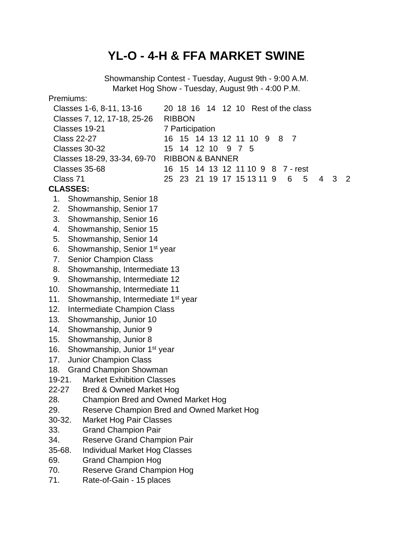### **YL-O - 4-H & FFA MARKET SWINE**

Showmanship Contest - Tuesday, August 9th - 9:00 A.M. Market Hog Show - Tuesday, August 9th - 4:00 P.M. Premiums: Classes 1-6, 8-11, 13-16 20 18 16 14 12 10 Rest of the class Classes 7, 12, 17-18, 25-26 RIBBON Classes 19-21 7 Participation Class 22-27 16 15 14 13 12 11 10 9 8 7 Classes 30-32 15 14 12 10 9 7 5 Classes 18-29, 33-34, 69-70 RIBBON & BANNER Classes 35-68 16 15 14 13 12 11 10 9 8 7 - rest Class 71 25 23 21 19 17 15 13 11 9 6 5 4 3 2 **CLASSES:** 1. Showmanship, Senior 18 2. Showmanship, Senior 17 3. Showmanship, Senior 16 4. Showmanship, Senior 15 5. Showmanship, Senior 14 6. Showmanship, Senior 1<sup>st</sup> year 7. Senior Champion Class 8. Showmanship, Intermediate 13 9. Showmanship, Intermediate 12 10. Showmanship, Intermediate 11 11. Showmanship, Intermediate 1<sup>st</sup> year 12. Intermediate Champion Class 13. Showmanship, Junior 10 14. Showmanship, Junior 9 15. Showmanship, Junior 8 16. Showmanship, Junior 1<sup>st</sup> year 17. Junior Champion Class 18. Grand Champion Showman 19-21. Market Exhibition Classes 22-27 Bred & Owned Market Hog 28. Champion Bred and Owned Market Hog 29. Reserve Champion Bred and Owned Market Hog 30-32. Market Hog Pair Classes 33. Grand Champion Pair 34. Reserve Grand Champion Pair 35-68. Individual Market Hog Classes 69. Grand Champion Hog 70. Reserve Grand Champion Hog 71. Rate-of-Gain - 15 places